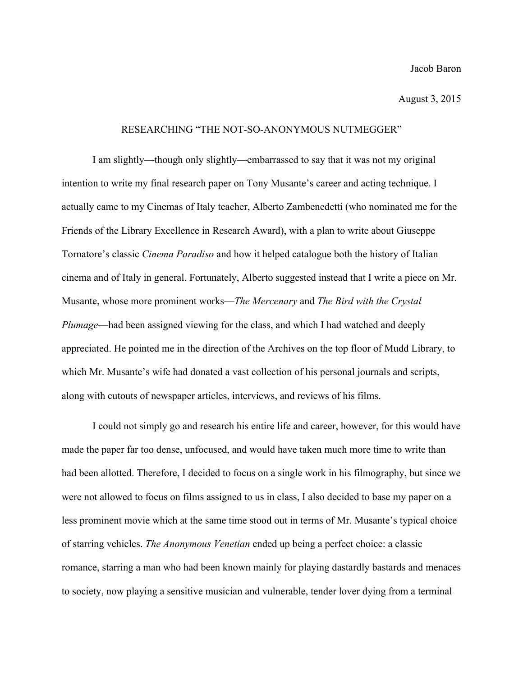## RESEARCHING "THE NOT-SO-ANONYMOUS NUTMEGGER"

I am slightly—though only slightly—embarrassed to say that it was not my original intention to write my final research paper on Tony Musante's career and acting technique. I actually came to my Cinemas of Italy teacher, Alberto Zambenedetti (who nominated me for the Friends of the Library Excellence in Research Award), with a plan to write about Giuseppe Tornatore's classic *Cinema Paradiso* and how it helped catalogue both the history of Italian cinema and of Italy in general. Fortunately, Alberto suggested instead that I write a piece on Mr. Musante, whose more prominent works—*The Mercenary* and *The Bird with the Crystal Plumage*—had been assigned viewing for the class, and which I had watched and deeply appreciated. He pointed me in the direction of the Archives on the top floor of Mudd Library, to which Mr. Musante's wife had donated a vast collection of his personal journals and scripts, along with cutouts of newspaper articles, interviews, and reviews of his films.

I could not simply go and research his entire life and career, however, for this would have made the paper far too dense, unfocused, and would have taken much more time to write than had been allotted. Therefore, I decided to focus on a single work in his filmography, but since we were not allowed to focus on films assigned to us in class, I also decided to base my paper on a less prominent movie which at the same time stood out in terms of Mr. Musante's typical choice of starring vehicles. *The Anonymous Venetian* ended up being a perfect choice: a classic romance, starring a man who had been known mainly for playing dastardly bastards and menaces to society, now playing a sensitive musician and vulnerable, tender lover dying from a terminal